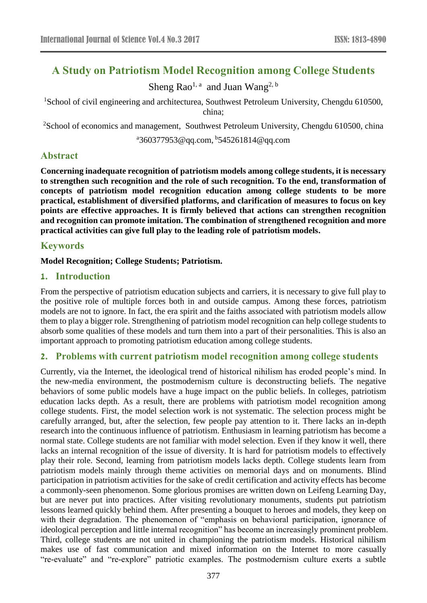# **A Study on Patriotism Model Recognition among College Students**

Sheng Rao<sup>1, a</sup> and Juan Wang<sup>2, b</sup>

<sup>1</sup>School of civil engineering and architecturea, Southwest Petroleum University, Chengdu 610500, china;

<sup>2</sup>School of economics and management, Southwest Petroleum University, Chengdu 610500, china a 360377953@qq.com, b [545261814@qq.com](mailto:545261814@qq.com)

# **Abstract**

**Concerning inadequate recognition of patriotism models among college students, it is necessary to strengthen such recognition and the role of such recognition. To the end, transformation of concepts of patriotism model recognition education among college students to be more practical, establishment of diversified platforms, and clarification of measures to focus on key points are effective approaches. It is firmly believed that actions can strengthen recognition and recognition can promote imitation. The combination of strengthened recognition and more practical activities can give full play to the leading role of patriotism models.**

# **Keywords**

#### **Model Recognition; College Students; Patriotism.**

## **1. Introduction**

From the perspective of patriotism education subjects and carriers, it is necessary to give full play to the positive role of multiple forces both in and outside campus. Among these forces, patriotism models are not to ignore. In fact, the era spirit and the faiths associated with patriotism models allow them to play a bigger role. Strengthening of patriotism model recognition can help college students to absorb some qualities of these models and turn them into a part of their personalities. This is also an important approach to promoting patriotism education among college students.

## **2. Problems with current patriotism model recognition among college students**

Currently, via the Internet, the ideological trend of historical nihilism has eroded people's mind. In the new-media environment, the postmodernism culture is deconstructing beliefs. The negative behaviors of some public models have a huge impact on the public beliefs. In colleges, patriotism education lacks depth. As a result, there are problems with patriotism model recognition among college students. First, the model selection work is not systematic. The selection process might be carefully arranged, but, after the selection, few people pay attention to it. There lacks an in-depth research into the continuous influence of patriotism. Enthusiasm in learning patriotism has become a normal state. College students are not familiar with model selection. Even if they know it well, there lacks an internal recognition of the issue of diversity. It is hard for patriotism models to effectively play their role. Second, learning from patriotism models lacks depth. College students learn from patriotism models mainly through theme activities on memorial days and on monuments. Blind participation in patriotism activities for the sake of credit certification and activity effects has become a commonly-seen phenomenon. Some glorious promises are written down on Leifeng Learning Day, but are never put into practices. After visiting revolutionary monuments, students put patriotism lessons learned quickly behind them. After presenting a bouquet to heroes and models, they keep on with their degradation. The phenomenon of "emphasis on behavioral participation, ignorance of ideological perception and little internal recognition" has become an increasingly prominent problem. Third, college students are not united in championing the patriotism models. Historical nihilism makes use of fast communication and mixed information on the Internet to more casually "re-evaluate" and "re-explore" patriotic examples. The postmodernism culture exerts a subtle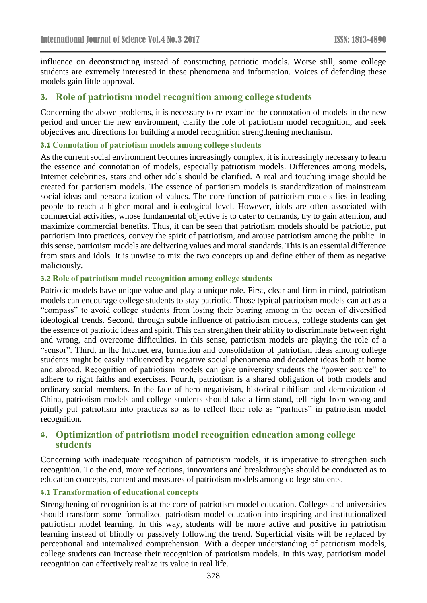influence on deconstructing instead of constructing patriotic models. Worse still, some college students are extremely interested in these phenomena and information. Voices of defending these models gain little approval.

## **3. Role of patriotism model recognition among college students**

Concerning the above problems, it is necessary to re-examine the connotation of models in the new period and under the new environment, clarify the role of patriotism model recognition, and seek objectives and directions for building a model recognition strengthening mechanism.

#### **3.1 Connotation of patriotism models among college students**

As the current social environment becomes increasingly complex, it is increasingly necessary to learn the essence and connotation of models, especially patriotism models. Differences among models, Internet celebrities, stars and other idols should be clarified. A real and touching image should be created for patriotism models. The essence of patriotism models is standardization of mainstream social ideas and personalization of values. The core function of patriotism models lies in leading people to reach a higher moral and ideological level. However, idols are often associated with commercial activities, whose fundamental objective is to cater to demands, try to gain attention, and maximize commercial benefits. Thus, it can be seen that patriotism models should be patriotic, put patriotism into practices, convey the spirit of patriotism, and arouse patriotism among the public. In this sense, patriotism models are delivering values and moral standards. This is an essential difference from stars and idols. It is unwise to mix the two concepts up and define either of them as negative maliciously.

#### **3.2 Role of patriotism model recognition among college students**

Patriotic models have unique value and play a unique role. First, clear and firm in mind, patriotism models can encourage college students to stay patriotic. Those typical patriotism models can act as a "compass" to avoid college students from losing their bearing among in the ocean of diversified ideological trends. Second, through subtle influence of patriotism models, college students can get the essence of patriotic ideas and spirit. This can strengthen their ability to discriminate between right and wrong, and overcome difficulties. In this sense, patriotism models are playing the role of a "sensor". Third, in the Internet era, formation and consolidation of patriotism ideas among college students might be easily influenced by negative social phenomena and decadent ideas both at home and abroad. Recognition of patriotism models can give university students the "power source" to adhere to right faiths and exercises. Fourth, patriotism is a shared obligation of both models and ordinary social members. In the face of hero negativism, historical nihilism and demonization of China, patriotism models and college students should take a firm stand, tell right from wrong and jointly put patriotism into practices so as to reflect their role as "partners" in patriotism model recognition.

# **4. Optimization of patriotism model recognition education among college students**

Concerning with inadequate recognition of patriotism models, it is imperative to strengthen such recognition. To the end, more reflections, innovations and breakthroughs should be conducted as to education concepts, content and measures of patriotism models among college students.

#### **4.1 Transformation of educational concepts**

Strengthening of recognition is at the core of patriotism model education. Colleges and universities should transform some formalized patriotism model education into inspiring and institutionalized patriotism model learning. In this way, students will be more active and positive in patriotism learning instead of blindly or passively following the trend. Superficial visits will be replaced by perceptional and internalized comprehension. With a deeper understanding of patriotism models, college students can increase their recognition of patriotism models. In this way, patriotism model recognition can effectively realize its value in real life.